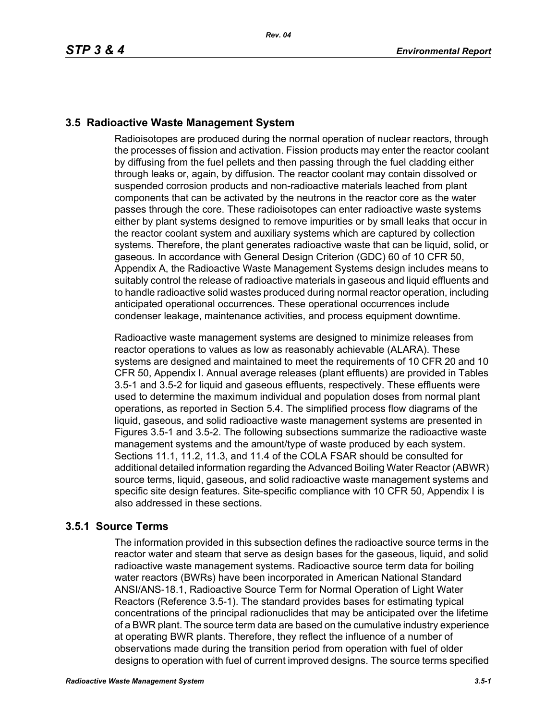### **3.5 Radioactive Waste Management System**

Radioisotopes are produced during the normal operation of nuclear reactors, through the processes of fission and activation. Fission products may enter the reactor coolant by diffusing from the fuel pellets and then passing through the fuel cladding either through leaks or, again, by diffusion. The reactor coolant may contain dissolved or suspended corrosion products and non-radioactive materials leached from plant components that can be activated by the neutrons in the reactor core as the water passes through the core. These radioisotopes can enter radioactive waste systems either by plant systems designed to remove impurities or by small leaks that occur in the reactor coolant system and auxiliary systems which are captured by collection systems. Therefore, the plant generates radioactive waste that can be liquid, solid, or gaseous. In accordance with General Design Criterion (GDC) 60 of 10 CFR 50, Appendix A, the Radioactive Waste Management Systems design includes means to suitably control the release of radioactive materials in gaseous and liquid effluents and to handle radioactive solid wastes produced during normal reactor operation, including anticipated operational occurrences. These operational occurrences include condenser leakage, maintenance activities, and process equipment downtime.

Radioactive waste management systems are designed to minimize releases from reactor operations to values as low as reasonably achievable (ALARA). These systems are designed and maintained to meet the requirements of 10 CFR 20 and 10 CFR 50, Appendix I. Annual average releases (plant effluents) are provided in Tables 3.5-1 and 3.5-2 for liquid and gaseous effluents, respectively. These effluents were used to determine the maximum individual and population doses from normal plant operations, as reported in Section 5.4. The simplified process flow diagrams of the liquid, gaseous, and solid radioactive waste management systems are presented in Figures 3.5-1 and 3.5-2. The following subsections summarize the radioactive waste management systems and the amount/type of waste produced by each system. Sections 11.1, 11.2, 11.3, and 11.4 of the COLA FSAR should be consulted for additional detailed information regarding the Advanced Boiling Water Reactor (ABWR) source terms, liquid, gaseous, and solid radioactive waste management systems and specific site design features. Site-specific compliance with 10 CFR 50, Appendix I is also addressed in these sections.

# **3.5.1 Source Terms**

The information provided in this subsection defines the radioactive source terms in the reactor water and steam that serve as design bases for the gaseous, liquid, and solid radioactive waste management systems. Radioactive source term data for boiling water reactors (BWRs) have been incorporated in American National Standard ANSI/ANS-18.1, Radioactive Source Term for Normal Operation of Light Water Reactors (Reference 3.5-1). The standard provides bases for estimating typical concentrations of the principal radionuclides that may be anticipated over the lifetime of a BWR plant. The source term data are based on the cumulative industry experience at operating BWR plants. Therefore, they reflect the influence of a number of observations made during the transition period from operation with fuel of older designs to operation with fuel of current improved designs. The source terms specified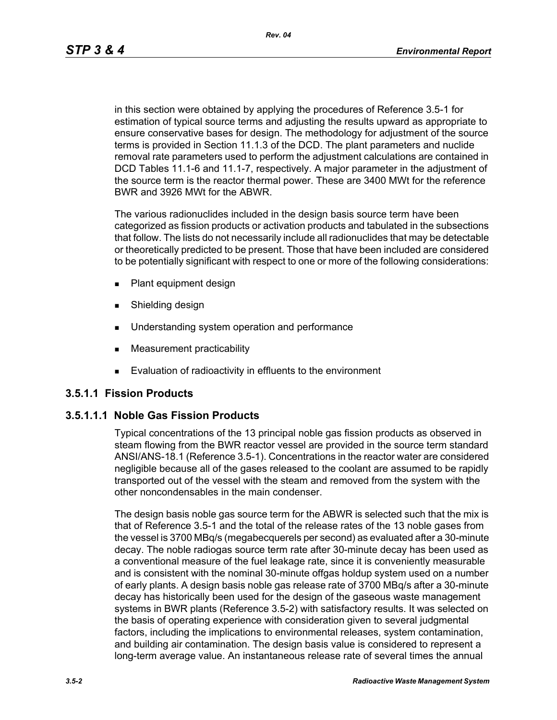*Rev. 04*

in this section were obtained by applying the procedures of Reference 3.5-1 for estimation of typical source terms and adjusting the results upward as appropriate to ensure conservative bases for design. The methodology for adjustment of the source terms is provided in Section 11.1.3 of the DCD. The plant parameters and nuclide removal rate parameters used to perform the adjustment calculations are contained in DCD Tables 11.1-6 and 11.1-7, respectively. A major parameter in the adjustment of the source term is the reactor thermal power. These are 3400 MWt for the reference BWR and 3926 MWt for the ABWR.

The various radionuclides included in the design basis source term have been categorized as fission products or activation products and tabulated in the subsections that follow. The lists do not necessarily include all radionuclides that may be detectable or theoretically predicted to be present. Those that have been included are considered to be potentially significant with respect to one or more of the following considerations:

- **Plant equipment design**
- **s** Shielding design
- **Understanding system operation and performance**
- **Measurement practicability**
- **Evaluation of radioactivity in effluents to the environment**

### **3.5.1.1 Fission Products**

### **3.5.1.1.1 Noble Gas Fission Products**

Typical concentrations of the 13 principal noble gas fission products as observed in steam flowing from the BWR reactor vessel are provided in the source term standard ANSI/ANS-18.1 (Reference 3.5-1). Concentrations in the reactor water are considered negligible because all of the gases released to the coolant are assumed to be rapidly transported out of the vessel with the steam and removed from the system with the other noncondensables in the main condenser.

The design basis noble gas source term for the ABWR is selected such that the mix is that of Reference 3.5-1 and the total of the release rates of the 13 noble gases from the vessel is 3700 MBq/s (megabecquerels per second) as evaluated after a 30-minute decay. The noble radiogas source term rate after 30-minute decay has been used as a conventional measure of the fuel leakage rate, since it is conveniently measurable and is consistent with the nominal 30-minute offgas holdup system used on a number of early plants. A design basis noble gas release rate of 3700 MBq/s after a 30-minute decay has historically been used for the design of the gaseous waste management systems in BWR plants (Reference 3.5-2) with satisfactory results. It was selected on the basis of operating experience with consideration given to several judgmental factors, including the implications to environmental releases, system contamination, and building air contamination. The design basis value is considered to represent a long-term average value. An instantaneous release rate of several times the annual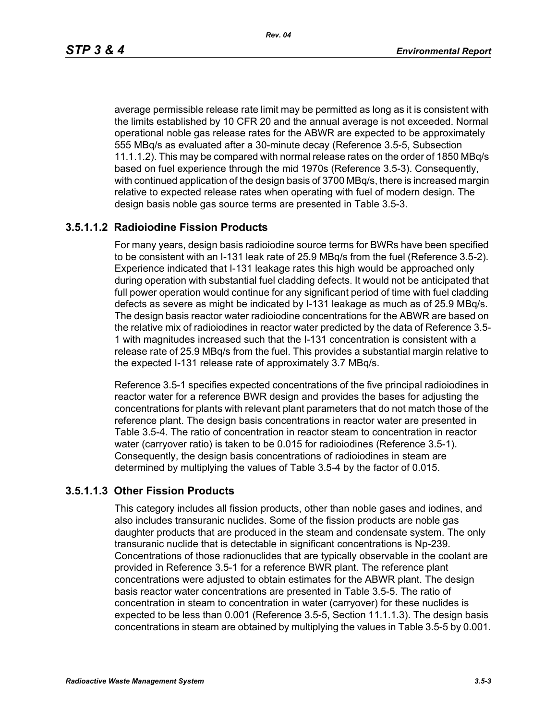average permissible release rate limit may be permitted as long as it is consistent with the limits established by 10 CFR 20 and the annual average is not exceeded. Normal operational noble gas release rates for the ABWR are expected to be approximately 555 MBq/s as evaluated after a 30-minute decay (Reference 3.5-5, Subsection 11.1.1.2). This may be compared with normal release rates on the order of 1850 MBq/s based on fuel experience through the mid 1970s (Reference 3.5-3). Consequently, with continued application of the design basis of 3700 MBq/s, there is increased margin relative to expected release rates when operating with fuel of modern design. The design basis noble gas source terms are presented in Table 3.5-3.

### **3.5.1.1.2 Radioiodine Fission Products**

For many years, design basis radioiodine source terms for BWRs have been specified to be consistent with an I-131 leak rate of 25.9 MBq/s from the fuel (Reference 3.5-2). Experience indicated that I-131 leakage rates this high would be approached only during operation with substantial fuel cladding defects. It would not be anticipated that full power operation would continue for any significant period of time with fuel cladding defects as severe as might be indicated by I-131 leakage as much as of 25.9 MBq/s. The design basis reactor water radioiodine concentrations for the ABWR are based on the relative mix of radioiodines in reactor water predicted by the data of Reference 3.5- 1 with magnitudes increased such that the I-131 concentration is consistent with a release rate of 25.9 MBq/s from the fuel. This provides a substantial margin relative to the expected I-131 release rate of approximately 3.7 MBq/s.

Reference 3.5-1 specifies expected concentrations of the five principal radioiodines in reactor water for a reference BWR design and provides the bases for adjusting the concentrations for plants with relevant plant parameters that do not match those of the reference plant. The design basis concentrations in reactor water are presented in Table 3.5-4. The ratio of concentration in reactor steam to concentration in reactor water (carryover ratio) is taken to be 0.015 for radioiodines (Reference 3.5-1). Consequently, the design basis concentrations of radioiodines in steam are determined by multiplying the values of Table 3.5-4 by the factor of 0.015.

#### **3.5.1.1.3 Other Fission Products**

This category includes all fission products, other than noble gases and iodines, and also includes transuranic nuclides. Some of the fission products are noble gas daughter products that are produced in the steam and condensate system. The only transuranic nuclide that is detectable in significant concentrations is Np-239. Concentrations of those radionuclides that are typically observable in the coolant are provided in Reference 3.5-1 for a reference BWR plant. The reference plant concentrations were adjusted to obtain estimates for the ABWR plant. The design basis reactor water concentrations are presented in Table 3.5-5. The ratio of concentration in steam to concentration in water (carryover) for these nuclides is expected to be less than 0.001 (Reference 3.5-5, Section 11.1.1.3). The design basis concentrations in steam are obtained by multiplying the values in Table 3.5-5 by 0.001.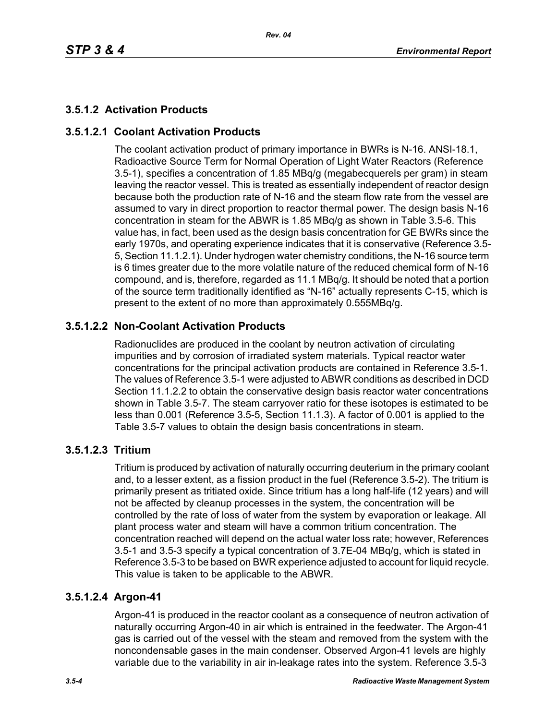# **3.5.1.2 Activation Products**

# **3.5.1.2.1 Coolant Activation Products**

The coolant activation product of primary importance in BWRs is N-16. ANSI-18.1, Radioactive Source Term for Normal Operation of Light Water Reactors (Reference 3.5-1), specifies a concentration of 1.85 MBq/g (megabecquerels per gram) in steam leaving the reactor vessel. This is treated as essentially independent of reactor design because both the production rate of N-16 and the steam flow rate from the vessel are assumed to vary in direct proportion to reactor thermal power. The design basis N-16 concentration in steam for the ABWR is 1.85 MBq/g as shown in Table 3.5-6. This value has, in fact, been used as the design basis concentration for GE BWRs since the early 1970s, and operating experience indicates that it is conservative (Reference 3.5- 5, Section 11.1.2.1). Under hydrogen water chemistry conditions, the N-16 source term is 6 times greater due to the more volatile nature of the reduced chemical form of N-16 compound, and is, therefore, regarded as 11.1 MBq/g. It should be noted that a portion of the source term traditionally identified as "N-16" actually represents C-15, which is present to the extent of no more than approximately 0.555MBq/g.

# **3.5.1.2.2 Non-Coolant Activation Products**

Radionuclides are produced in the coolant by neutron activation of circulating impurities and by corrosion of irradiated system materials. Typical reactor water concentrations for the principal activation products are contained in Reference 3.5-1. The values of Reference 3.5-1 were adjusted to ABWR conditions as described in DCD Section 11.1.2.2 to obtain the conservative design basis reactor water concentrations shown in Table 3.5-7. The steam carryover ratio for these isotopes is estimated to be less than 0.001 (Reference 3.5-5, Section 11.1.3). A factor of 0.001 is applied to the Table 3.5-7 values to obtain the design basis concentrations in steam.

### **3.5.1.2.3 Tritium**

Tritium is produced by activation of naturally occurring deuterium in the primary coolant and, to a lesser extent, as a fission product in the fuel (Reference 3.5-2). The tritium is primarily present as tritiated oxide. Since tritium has a long half-life (12 years) and will not be affected by cleanup processes in the system, the concentration will be controlled by the rate of loss of water from the system by evaporation or leakage. All plant process water and steam will have a common tritium concentration. The concentration reached will depend on the actual water loss rate; however, References 3.5-1 and 3.5-3 specify a typical concentration of 3.7E-04 MBq/g, which is stated in Reference 3.5-3 to be based on BWR experience adjusted to account for liquid recycle. This value is taken to be applicable to the ABWR.

### **3.5.1.2.4 Argon-41**

Argon-41 is produced in the reactor coolant as a consequence of neutron activation of naturally occurring Argon-40 in air which is entrained in the feedwater. The Argon-41 gas is carried out of the vessel with the steam and removed from the system with the noncondensable gases in the main condenser. Observed Argon-41 levels are highly variable due to the variability in air in-leakage rates into the system. Reference 3.5-3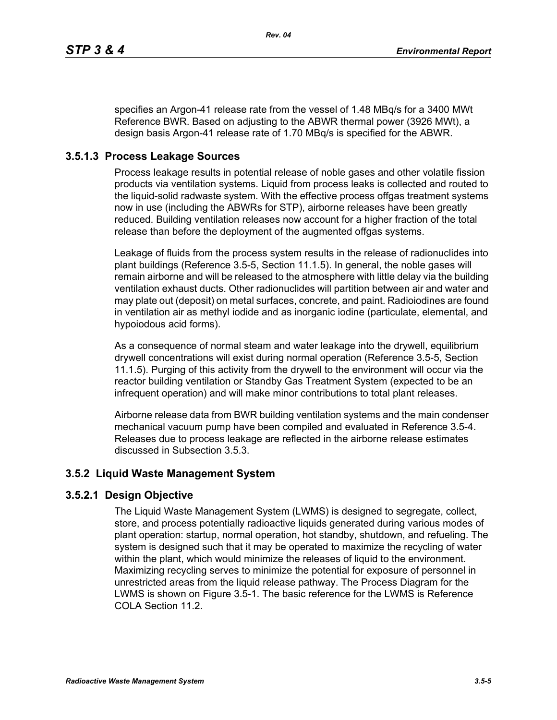specifies an Argon-41 release rate from the vessel of 1.48 MBq/s for a 3400 MWt Reference BWR. Based on adjusting to the ABWR thermal power (3926 MWt), a design basis Argon-41 release rate of 1.70 MBq/s is specified for the ABWR.

### **3.5.1.3 Process Leakage Sources**

Process leakage results in potential release of noble gases and other volatile fission products via ventilation systems. Liquid from process leaks is collected and routed to the liquid-solid radwaste system. With the effective process offgas treatment systems now in use (including the ABWRs for STP), airborne releases have been greatly reduced. Building ventilation releases now account for a higher fraction of the total release than before the deployment of the augmented offgas systems.

Leakage of fluids from the process system results in the release of radionuclides into plant buildings (Reference 3.5-5, Section 11.1.5). In general, the noble gases will remain airborne and will be released to the atmosphere with little delay via the building ventilation exhaust ducts. Other radionuclides will partition between air and water and may plate out (deposit) on metal surfaces, concrete, and paint. Radioiodines are found in ventilation air as methyl iodide and as inorganic iodine (particulate, elemental, and hypoiodous acid forms).

As a consequence of normal steam and water leakage into the drywell, equilibrium drywell concentrations will exist during normal operation (Reference 3.5-5, Section 11.1.5). Purging of this activity from the drywell to the environment will occur via the reactor building ventilation or Standby Gas Treatment System (expected to be an infrequent operation) and will make minor contributions to total plant releases.

Airborne release data from BWR building ventilation systems and the main condenser mechanical vacuum pump have been compiled and evaluated in Reference 3.5-4. Releases due to process leakage are reflected in the airborne release estimates discussed in Subsection 3.5.3.

### **3.5.2 Liquid Waste Management System**

### **3.5.2.1 Design Objective**

The Liquid Waste Management System (LWMS) is designed to segregate, collect, store, and process potentially radioactive liquids generated during various modes of plant operation: startup, normal operation, hot standby, shutdown, and refueling. The system is designed such that it may be operated to maximize the recycling of water within the plant, which would minimize the releases of liquid to the environment. Maximizing recycling serves to minimize the potential for exposure of personnel in unrestricted areas from the liquid release pathway. The Process Diagram for the LWMS is shown on Figure 3.5-1. The basic reference for the LWMS is Reference COLA Section 11.2.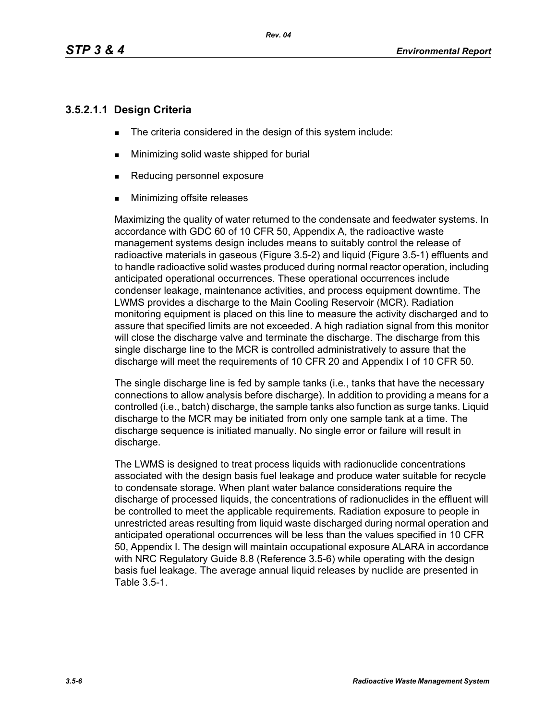### **3.5.2.1.1 Design Criteria**

- The criteria considered in the design of this system include:
- **Minimizing solid waste shipped for burial**
- Reducing personnel exposure
- **Minimizing offsite releases**

Maximizing the quality of water returned to the condensate and feedwater systems. In accordance with GDC 60 of 10 CFR 50, Appendix A, the radioactive waste management systems design includes means to suitably control the release of radioactive materials in gaseous (Figure 3.5-2) and liquid (Figure 3.5-1) effluents and to handle radioactive solid wastes produced during normal reactor operation, including anticipated operational occurrences. These operational occurrences include condenser leakage, maintenance activities, and process equipment downtime. The LWMS provides a discharge to the Main Cooling Reservoir (MCR). Radiation monitoring equipment is placed on this line to measure the activity discharged and to assure that specified limits are not exceeded. A high radiation signal from this monitor will close the discharge valve and terminate the discharge. The discharge from this single discharge line to the MCR is controlled administratively to assure that the discharge will meet the requirements of 10 CFR 20 and Appendix I of 10 CFR 50.

The single discharge line is fed by sample tanks (i.e., tanks that have the necessary connections to allow analysis before discharge). In addition to providing a means for a controlled (i.e., batch) discharge, the sample tanks also function as surge tanks. Liquid discharge to the MCR may be initiated from only one sample tank at a time. The discharge sequence is initiated manually. No single error or failure will result in discharge.

The LWMS is designed to treat process liquids with radionuclide concentrations associated with the design basis fuel leakage and produce water suitable for recycle to condensate storage. When plant water balance considerations require the discharge of processed liquids, the concentrations of radionuclides in the effluent will be controlled to meet the applicable requirements. Radiation exposure to people in unrestricted areas resulting from liquid waste discharged during normal operation and anticipated operational occurrences will be less than the values specified in 10 CFR 50, Appendix I. The design will maintain occupational exposure ALARA in accordance with NRC Regulatory Guide 8.8 (Reference 3.5-6) while operating with the design basis fuel leakage. The average annual liquid releases by nuclide are presented in Table 3.5-1.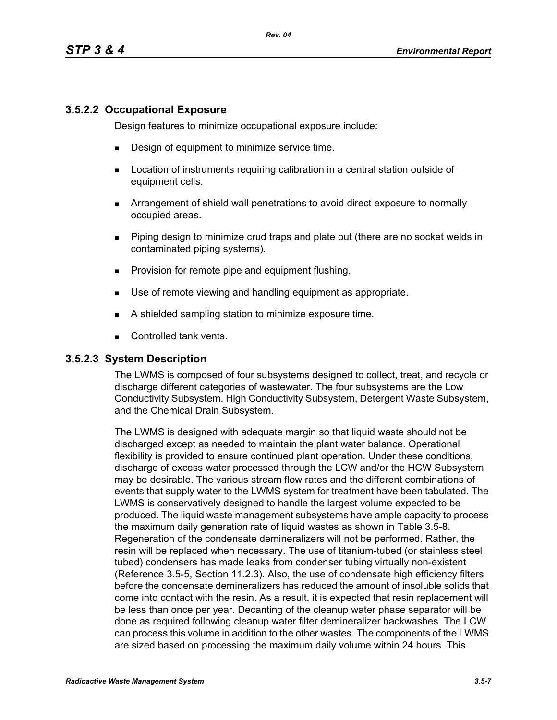### **3.5.2.2 Occupational Exposure**

Design features to minimize occupational exposure include:

- **Design of equipment to minimize service time.**
- **EXECT** Location of instruments requiring calibration in a central station outside of equipment cells.
- Arrangement of shield wall penetrations to avoid direct exposure to normally occupied areas.
- Piping design to minimize crud traps and plate out (there are no socket welds in contaminated piping systems).
- **Provision for remote pipe and equipment flushing.**
- Use of remote viewing and handling equipment as appropriate.
- A shielded sampling station to minimize exposure time.
- Controlled tank vents.

#### **3.5.2.3 System Description**

The LWMS is composed of four subsystems designed to collect, treat, and recycle or discharge different categories of wastewater. The four subsystems are the Low Conductivity Subsystem, High Conductivity Subsystem, Detergent Waste Subsystem, and the Chemical Drain Subsystem.

The LWMS is designed with adequate margin so that liquid waste should not be discharged except as needed to maintain the plant water balance. Operational flexibility is provided to ensure continued plant operation. Under these conditions, discharge of excess water processed through the LCW and/or the HCW Subsystem may be desirable. The various stream flow rates and the different combinations of events that supply water to the LWMS system for treatment have been tabulated. The LWMS is conservatively designed to handle the largest volume expected to be produced. The liquid waste management subsystems have ample capacity to process the maximum daily generation rate of liquid wastes as shown in Table 3.5-8. Regeneration of the condensate demineralizers will not be performed. Rather, the resin will be replaced when necessary. The use of titanium-tubed (or stainless steel tubed) condensers has made leaks from condenser tubing virtually non-existent (Reference 3.5-5, Section 11.2.3). Also, the use of condensate high efficiency filters before the condensate demineralizers has reduced the amount of insoluble solids that come into contact with the resin. As a result, it is expected that resin replacement will be less than once per year. Decanting of the cleanup water phase separator will be done as required following cleanup water filter demineralizer backwashes. The LCW can process this volume in addition to the other wastes. The components of the LWMS are sized based on processing the maximum daily volume within 24 hours. This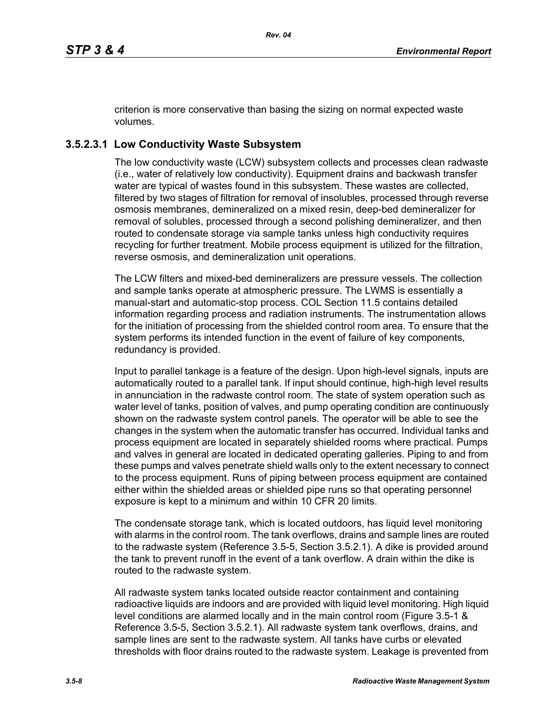criterion is more conservative than basing the sizing on normal expected waste volumes.

# **3.5.2.3.1 Low Conductivity Waste Subsystem**

The low conductivity waste (LCW) subsystem collects and processes clean radwaste (i.e., water of relatively low conductivity). Equipment drains and backwash transfer water are typical of wastes found in this subsystem. These wastes are collected, filtered by two stages of filtration for removal of insolubles, processed through reverse osmosis membranes, demineralized on a mixed resin, deep-bed demineralizer for removal of solubles, processed through a second polishing demineralizer, and then routed to condensate storage via sample tanks unless high conductivity requires recycling for further treatment. Mobile process equipment is utilized for the filtration, reverse osmosis, and demineralization unit operations.

The LCW filters and mixed-bed demineralizers are pressure vessels. The collection and sample tanks operate at atmospheric pressure. The LWMS is essentially a manual-start and automatic-stop process. COL Section 11.5 contains detailed information regarding process and radiation instruments. The instrumentation allows for the initiation of processing from the shielded control room area. To ensure that the system performs its intended function in the event of failure of key components, redundancy is provided.

Input to parallel tankage is a feature of the design. Upon high-level signals, inputs are automatically routed to a parallel tank. If input should continue, high-high level results in annunciation in the radwaste control room. The state of system operation such as water level of tanks, position of valves, and pump operating condition are continuously shown on the radwaste system control panels. The operator will be able to see the changes in the system when the automatic transfer has occurred. Individual tanks and process equipment are located in separately shielded rooms where practical. Pumps and valves in general are located in dedicated operating galleries. Piping to and from these pumps and valves penetrate shield walls only to the extent necessary to connect to the process equipment. Runs of piping between process equipment are contained either within the shielded areas or shielded pipe runs so that operating personnel exposure is kept to a minimum and within 10 CFR 20 limits.

The condensate storage tank, which is located outdoors, has liquid level monitoring with alarms in the control room. The tank overflows, drains and sample lines are routed to the radwaste system (Reference 3.5-5, Section 3.5.2.1). A dike is provided around the tank to prevent runoff in the event of a tank overflow. A drain within the dike is routed to the radwaste system.

All radwaste system tanks located outside reactor containment and containing radioactive liquids are indoors and are provided with liquid level monitoring. High liquid level conditions are alarmed locally and in the main control room (Figure 3.5-1 & Reference 3.5-5, Section 3.5.2.1). All radwaste system tank overflows, drains, and sample lines are sent to the radwaste system. All tanks have curbs or elevated thresholds with floor drains routed to the radwaste system. Leakage is prevented from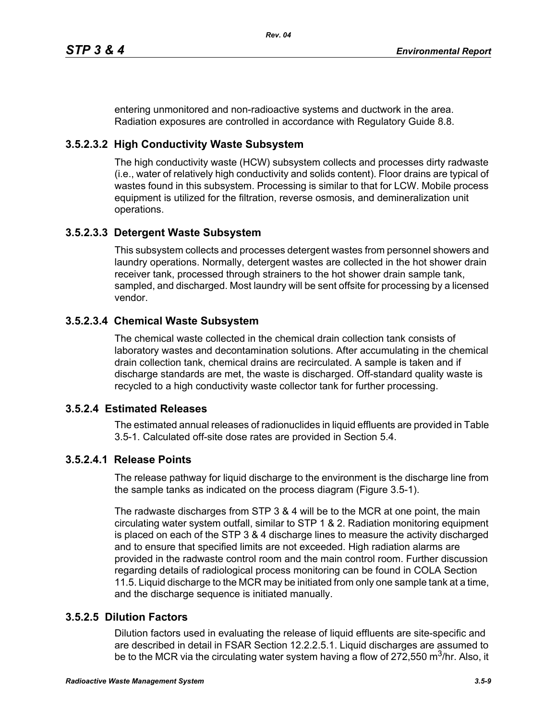entering unmonitored and non-radioactive systems and ductwork in the area. Radiation exposures are controlled in accordance with Regulatory Guide 8.8.

### **3.5.2.3.2 High Conductivity Waste Subsystem**

The high conductivity waste (HCW) subsystem collects and processes dirty radwaste (i.e., water of relatively high conductivity and solids content). Floor drains are typical of wastes found in this subsystem. Processing is similar to that for LCW. Mobile process equipment is utilized for the filtration, reverse osmosis, and demineralization unit operations.

### **3.5.2.3.3 Detergent Waste Subsystem**

This subsystem collects and processes detergent wastes from personnel showers and laundry operations. Normally, detergent wastes are collected in the hot shower drain receiver tank, processed through strainers to the hot shower drain sample tank, sampled, and discharged. Most laundry will be sent offsite for processing by a licensed vendor.

### **3.5.2.3.4 Chemical Waste Subsystem**

The chemical waste collected in the chemical drain collection tank consists of laboratory wastes and decontamination solutions. After accumulating in the chemical drain collection tank, chemical drains are recirculated. A sample is taken and if discharge standards are met, the waste is discharged. Off-standard quality waste is recycled to a high conductivity waste collector tank for further processing.

### **3.5.2.4 Estimated Releases**

The estimated annual releases of radionuclides in liquid effluents are provided in Table 3.5-1. Calculated off-site dose rates are provided in Section 5.4.

### **3.5.2.4.1 Release Points**

The release pathway for liquid discharge to the environment is the discharge line from the sample tanks as indicated on the process diagram (Figure 3.5-1).

The radwaste discharges from STP 3 & 4 will be to the MCR at one point, the main circulating water system outfall, similar to STP 1 & 2. Radiation monitoring equipment is placed on each of the STP 3 & 4 discharge lines to measure the activity discharged and to ensure that specified limits are not exceeded. High radiation alarms are provided in the radwaste control room and the main control room. Further discussion regarding details of radiological process monitoring can be found in COLA Section 11.5. Liquid discharge to the MCR may be initiated from only one sample tank at a time, and the discharge sequence is initiated manually.

### **3.5.2.5 Dilution Factors**

Dilution factors used in evaluating the release of liquid effluents are site-specific and are described in detail in FSAR Section 12.2.2.5.1. Liquid discharges are assumed to be to the MCR via the circulating water system having a flow of 272,550 m<sup>3</sup>/hr. Also, it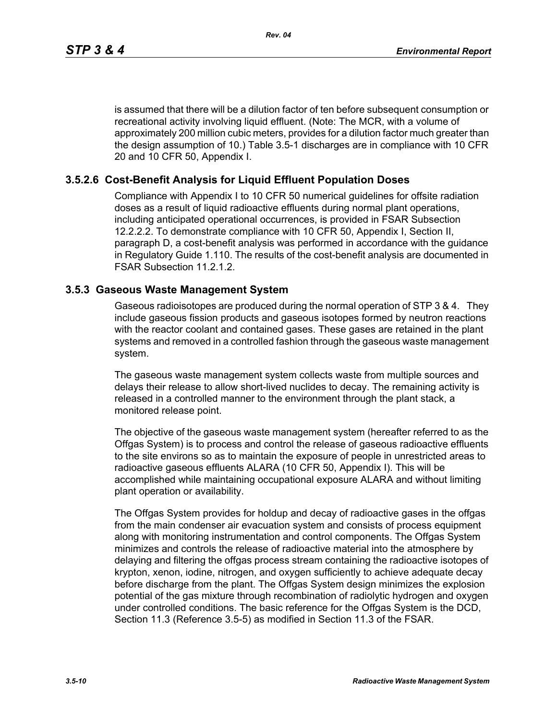is assumed that there will be a dilution factor of ten before subsequent consumption or recreational activity involving liquid effluent. (Note: The MCR, with a volume of approximately 200 million cubic meters, provides for a dilution factor much greater than the design assumption of 10.) Table 3.5-1 discharges are in compliance with 10 CFR 20 and 10 CFR 50, Appendix I.

### **3.5.2.6 Cost-Benefit Analysis for Liquid Effluent Population Doses**

Compliance with Appendix I to 10 CFR 50 numerical guidelines for offsite radiation doses as a result of liquid radioactive effluents during normal plant operations, including anticipated operational occurrences, is provided in FSAR Subsection 12.2.2.2. To demonstrate compliance with 10 CFR 50, Appendix I, Section II, paragraph D, a cost-benefit analysis was performed in accordance with the guidance in Regulatory Guide 1.110. The results of the cost-benefit analysis are documented in FSAR Subsection 11.2.1.2.

#### **3.5.3 Gaseous Waste Management System**

Gaseous radioisotopes are produced during the normal operation of STP 3 & 4. They include gaseous fission products and gaseous isotopes formed by neutron reactions with the reactor coolant and contained gases. These gases are retained in the plant systems and removed in a controlled fashion through the gaseous waste management system.

The gaseous waste management system collects waste from multiple sources and delays their release to allow short-lived nuclides to decay. The remaining activity is released in a controlled manner to the environment through the plant stack, a monitored release point.

The objective of the gaseous waste management system (hereafter referred to as the Offgas System) is to process and control the release of gaseous radioactive effluents to the site environs so as to maintain the exposure of people in unrestricted areas to radioactive gaseous effluents ALARA (10 CFR 50, Appendix I). This will be accomplished while maintaining occupational exposure ALARA and without limiting plant operation or availability.

The Offgas System provides for holdup and decay of radioactive gases in the offgas from the main condenser air evacuation system and consists of process equipment along with monitoring instrumentation and control components. The Offgas System minimizes and controls the release of radioactive material into the atmosphere by delaying and filtering the offgas process stream containing the radioactive isotopes of krypton, xenon, iodine, nitrogen, and oxygen sufficiently to achieve adequate decay before discharge from the plant. The Offgas System design minimizes the explosion potential of the gas mixture through recombination of radiolytic hydrogen and oxygen under controlled conditions. The basic reference for the Offgas System is the DCD, Section 11.3 (Reference 3.5-5) as modified in Section 11.3 of the FSAR.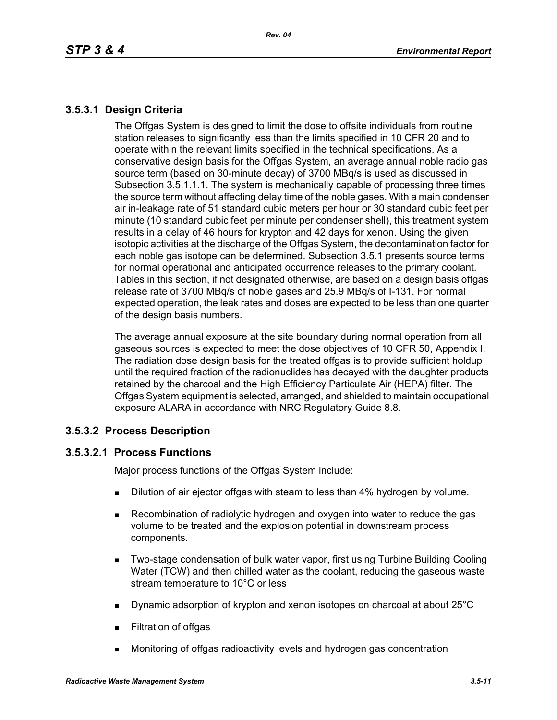# **3.5.3.1 Design Criteria**

The Offgas System is designed to limit the dose to offsite individuals from routine station releases to significantly less than the limits specified in 10 CFR 20 and to operate within the relevant limits specified in the technical specifications. As a conservative design basis for the Offgas System, an average annual noble radio gas source term (based on 30-minute decay) of 3700 MBq/s is used as discussed in Subsection 3.5.1.1.1. The system is mechanically capable of processing three times the source term without affecting delay time of the noble gases. With a main condenser air in-leakage rate of 51 standard cubic meters per hour or 30 standard cubic feet per minute (10 standard cubic feet per minute per condenser shell), this treatment system results in a delay of 46 hours for krypton and 42 days for xenon. Using the given isotopic activities at the discharge of the Offgas System, the decontamination factor for each noble gas isotope can be determined. Subsection 3.5.1 presents source terms for normal operational and anticipated occurrence releases to the primary coolant. Tables in this section, if not designated otherwise, are based on a design basis offgas release rate of 3700 MBq/s of noble gases and 25.9 MBq/s of I-131. For normal expected operation, the leak rates and doses are expected to be less than one quarter of the design basis numbers.

The average annual exposure at the site boundary during normal operation from all gaseous sources is expected to meet the dose objectives of 10 CFR 50, Appendix I. The radiation dose design basis for the treated offgas is to provide sufficient holdup until the required fraction of the radionuclides has decayed with the daughter products retained by the charcoal and the High Efficiency Particulate Air (HEPA) filter. The Offgas System equipment is selected, arranged, and shielded to maintain occupational exposure ALARA in accordance with NRC Regulatory Guide 8.8.

### **3.5.3.2 Process Description**

### **3.5.3.2.1 Process Functions**

Major process functions of the Offgas System include:

- **Dilution of air ejector offgas with steam to less than 4% hydrogen by volume.**
- Recombination of radiolytic hydrogen and oxygen into water to reduce the gas volume to be treated and the explosion potential in downstream process components.
- **Two-stage condensation of bulk water vapor, first using Turbine Building Cooling** Water (TCW) and then chilled water as the coolant, reducing the gaseous waste stream temperature to 10°C or less
- Dynamic adsorption of krypton and xenon isotopes on charcoal at about 25°C
- **Filtration of offgas**
- Monitoring of offgas radioactivity levels and hydrogen gas concentration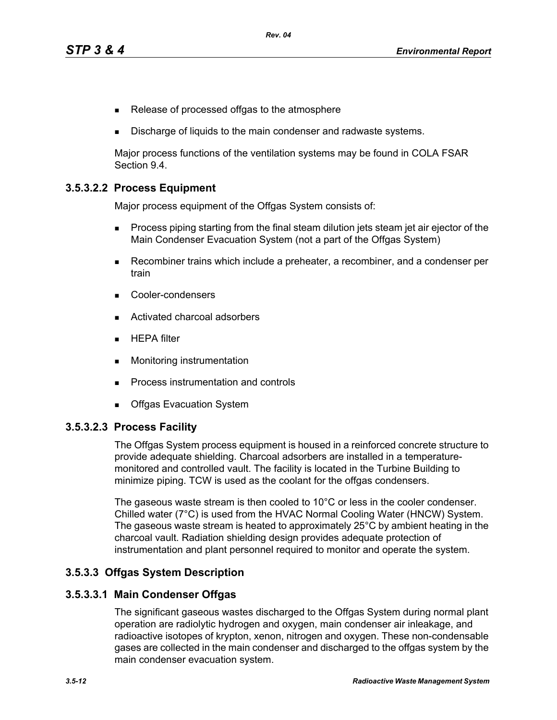- Release of processed offgas to the atmosphere
- Discharge of liquids to the main condenser and radwaste systems.

Major process functions of the ventilation systems may be found in COLA FSAR Section 9.4.

### **3.5.3.2.2 Process Equipment**

Major process equipment of the Offgas System consists of:

- **Process piping starting from the final steam dilution jets steam jet air ejector of the** Main Condenser Evacuation System (not a part of the Offgas System)
- Recombiner trains which include a preheater, a recombiner, and a condenser per train
- Cooler-condensers
- Activated charcoal adsorbers
- $HEPA$  filter
- **Monitoring instrumentation**
- **Process instrumentation and controls**
- **Deal** Offgas Evacuation System

#### **3.5.3.2.3 Process Facility**

The Offgas System process equipment is housed in a reinforced concrete structure to provide adequate shielding. Charcoal adsorbers are installed in a temperaturemonitored and controlled vault. The facility is located in the Turbine Building to minimize piping. TCW is used as the coolant for the offgas condensers.

The gaseous waste stream is then cooled to 10°C or less in the cooler condenser. Chilled water (7°C) is used from the HVAC Normal Cooling Water (HNCW) System. The gaseous waste stream is heated to approximately 25°C by ambient heating in the charcoal vault. Radiation shielding design provides adequate protection of instrumentation and plant personnel required to monitor and operate the system.

#### **3.5.3.3 Offgas System Description**

#### **3.5.3.3.1 Main Condenser Offgas**

The significant gaseous wastes discharged to the Offgas System during normal plant operation are radiolytic hydrogen and oxygen, main condenser air inleakage, and radioactive isotopes of krypton, xenon, nitrogen and oxygen. These non-condensable gases are collected in the main condenser and discharged to the offgas system by the main condenser evacuation system.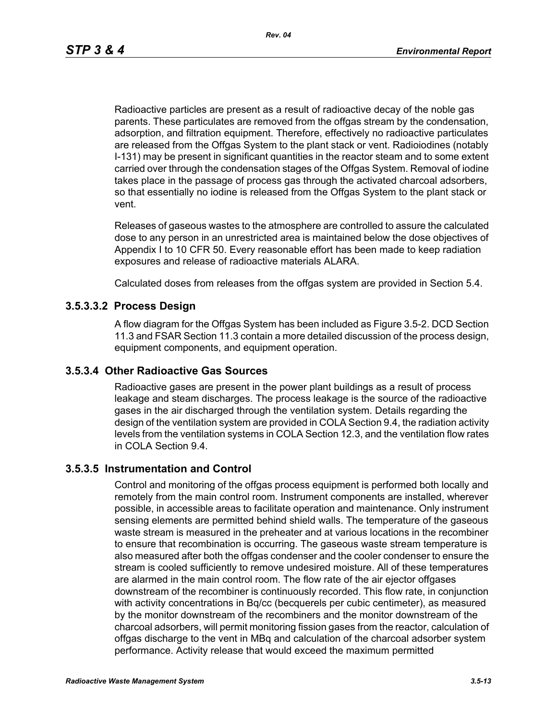Radioactive particles are present as a result of radioactive decay of the noble gas parents. These particulates are removed from the offgas stream by the condensation, adsorption, and filtration equipment. Therefore, effectively no radioactive particulates are released from the Offgas System to the plant stack or vent. Radioiodines (notably I-131) may be present in significant quantities in the reactor steam and to some extent carried over through the condensation stages of the Offgas System. Removal of iodine takes place in the passage of process gas through the activated charcoal adsorbers, so that essentially no iodine is released from the Offgas System to the plant stack or vent.

Releases of gaseous wastes to the atmosphere are controlled to assure the calculated dose to any person in an unrestricted area is maintained below the dose objectives of Appendix I to 10 CFR 50. Every reasonable effort has been made to keep radiation exposures and release of radioactive materials ALARA.

Calculated doses from releases from the offgas system are provided in Section 5.4.

#### **3.5.3.3.2 Process Design**

A flow diagram for the Offgas System has been included as Figure 3.5-2. DCD Section 11.3 and FSAR Section 11.3 contain a more detailed discussion of the process design, equipment components, and equipment operation.

#### **3.5.3.4 Other Radioactive Gas Sources**

Radioactive gases are present in the power plant buildings as a result of process leakage and steam discharges. The process leakage is the source of the radioactive gases in the air discharged through the ventilation system. Details regarding the design of the ventilation system are provided in COLA Section 9.4, the radiation activity levels from the ventilation systems in COLA Section 12.3, and the ventilation flow rates in COLA Section 9.4.

#### **3.5.3.5 Instrumentation and Control**

Control and monitoring of the offgas process equipment is performed both locally and remotely from the main control room. Instrument components are installed, wherever possible, in accessible areas to facilitate operation and maintenance. Only instrument sensing elements are permitted behind shield walls. The temperature of the gaseous waste stream is measured in the preheater and at various locations in the recombiner to ensure that recombination is occurring. The gaseous waste stream temperature is also measured after both the offgas condenser and the cooler condenser to ensure the stream is cooled sufficiently to remove undesired moisture. All of these temperatures are alarmed in the main control room. The flow rate of the air ejector offgases downstream of the recombiner is continuously recorded. This flow rate, in conjunction with activity concentrations in Bq/cc (becquerels per cubic centimeter), as measured by the monitor downstream of the recombiners and the monitor downstream of the charcoal adsorbers, will permit monitoring fission gases from the reactor, calculation of offgas discharge to the vent in MBq and calculation of the charcoal adsorber system performance. Activity release that would exceed the maximum permitted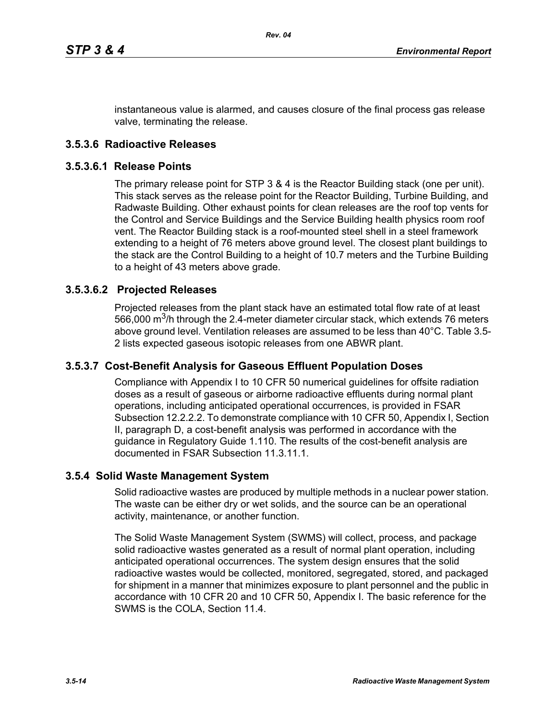instantaneous value is alarmed, and causes closure of the final process gas release valve, terminating the release.

### **3.5.3.6 Radioactive Releases**

#### **3.5.3.6.1 Release Points**

The primary release point for STP 3 & 4 is the Reactor Building stack (one per unit). This stack serves as the release point for the Reactor Building, Turbine Building, and Radwaste Building. Other exhaust points for clean releases are the roof top vents for the Control and Service Buildings and the Service Building health physics room roof vent. The Reactor Building stack is a roof-mounted steel shell in a steel framework extending to a height of 76 meters above ground level. The closest plant buildings to the stack are the Control Building to a height of 10.7 meters and the Turbine Building to a height of 43 meters above grade.

#### **3.5.3.6.2 Projected Releases**

Projected releases from the plant stack have an estimated total flow rate of at least 566,000  $\mathrm{m}^3$ /h through the 2.4-meter diameter circular stack, which extends 76 meters above ground level. Ventilation releases are assumed to be less than 40°C. Table 3.5- 2 lists expected gaseous isotopic releases from one ABWR plant.

#### **3.5.3.7 Cost-Benefit Analysis for Gaseous Effluent Population Doses**

Compliance with Appendix I to 10 CFR 50 numerical guidelines for offsite radiation doses as a result of gaseous or airborne radioactive effluents during normal plant operations, including anticipated operational occurrences, is provided in FSAR Subsection 12.2.2.2. To demonstrate compliance with 10 CFR 50, Appendix I, Section II, paragraph D, a cost-benefit analysis was performed in accordance with the guidance in Regulatory Guide 1.110. The results of the cost-benefit analysis are documented in FSAR Subsection 11.3.11.1.

#### **3.5.4 Solid Waste Management System**

Solid radioactive wastes are produced by multiple methods in a nuclear power station. The waste can be either dry or wet solids, and the source can be an operational activity, maintenance, or another function.

The Solid Waste Management System (SWMS) will collect, process, and package solid radioactive wastes generated as a result of normal plant operation, including anticipated operational occurrences. The system design ensures that the solid radioactive wastes would be collected, monitored, segregated, stored, and packaged for shipment in a manner that minimizes exposure to plant personnel and the public in accordance with 10 CFR 20 and 10 CFR 50, Appendix I. The basic reference for the SWMS is the COLA, Section 11.4.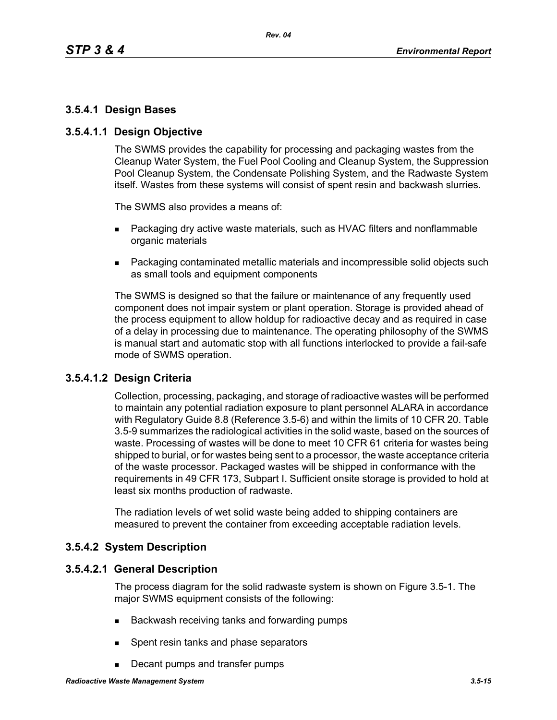### **3.5.4.1 Design Bases**

### **3.5.4.1.1 Design Objective**

The SWMS provides the capability for processing and packaging wastes from the Cleanup Water System, the Fuel Pool Cooling and Cleanup System, the Suppression Pool Cleanup System, the Condensate Polishing System, and the Radwaste System itself. Wastes from these systems will consist of spent resin and backwash slurries.

The SWMS also provides a means of:

- **Packaging dry active waste materials, such as HVAC filters and nonflammable** organic materials
- Packaging contaminated metallic materials and incompressible solid objects such as small tools and equipment components

The SWMS is designed so that the failure or maintenance of any frequently used component does not impair system or plant operation. Storage is provided ahead of the process equipment to allow holdup for radioactive decay and as required in case of a delay in processing due to maintenance. The operating philosophy of the SWMS is manual start and automatic stop with all functions interlocked to provide a fail-safe mode of SWMS operation.

### **3.5.4.1.2 Design Criteria**

Collection, processing, packaging, and storage of radioactive wastes will be performed to maintain any potential radiation exposure to plant personnel ALARA in accordance with Regulatory Guide 8.8 (Reference 3.5-6) and within the limits of 10 CFR 20. Table 3.5-9 summarizes the radiological activities in the solid waste, based on the sources of waste. Processing of wastes will be done to meet 10 CFR 61 criteria for wastes being shipped to burial, or for wastes being sent to a processor, the waste acceptance criteria of the waste processor. Packaged wastes will be shipped in conformance with the requirements in 49 CFR 173, Subpart I. Sufficient onsite storage is provided to hold at least six months production of radwaste.

The radiation levels of wet solid waste being added to shipping containers are measured to prevent the container from exceeding acceptable radiation levels.

### **3.5.4.2 System Description**

#### **3.5.4.2.1 General Description**

The process diagram for the solid radwaste system is shown on Figure 3.5-1. The major SWMS equipment consists of the following:

- Backwash receiving tanks and forwarding pumps
- **Spent resin tanks and phase separators**
- Decant pumps and transfer pumps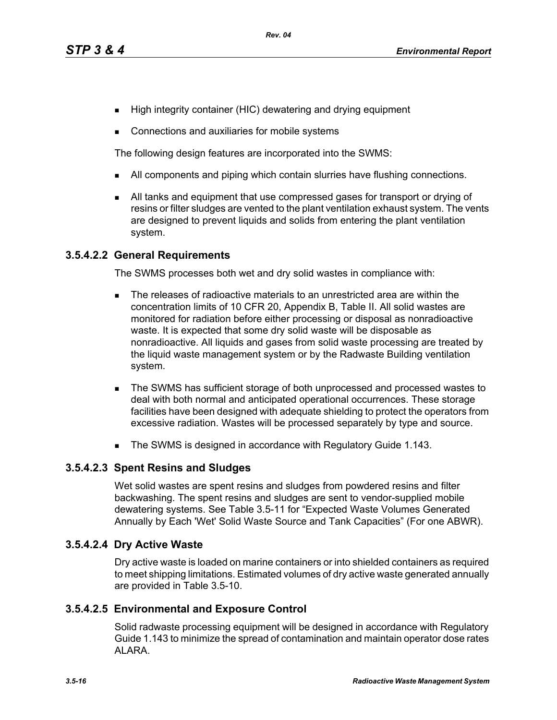- High integrity container (HIC) dewatering and drying equipment
- Connections and auxiliaries for mobile systems

The following design features are incorporated into the SWMS:

- I All components and piping which contain slurries have flushing connections.
- All tanks and equipment that use compressed gases for transport or drying of resins or filter sludges are vented to the plant ventilation exhaust system. The vents are designed to prevent liquids and solids from entering the plant ventilation system.

### **3.5.4.2.2 General Requirements**

The SWMS processes both wet and dry solid wastes in compliance with:

- The releases of radioactive materials to an unrestricted area are within the concentration limits of 10 CFR 20, Appendix B, Table II. All solid wastes are monitored for radiation before either processing or disposal as nonradioactive waste. It is expected that some dry solid waste will be disposable as nonradioactive. All liquids and gases from solid waste processing are treated by the liquid waste management system or by the Radwaste Building ventilation system.
- The SWMS has sufficient storage of both unprocessed and processed wastes to deal with both normal and anticipated operational occurrences. These storage facilities have been designed with adequate shielding to protect the operators from excessive radiation. Wastes will be processed separately by type and source.
- The SWMS is designed in accordance with Regulatory Guide 1.143.

### **3.5.4.2.3 Spent Resins and Sludges**

Wet solid wastes are spent resins and sludges from powdered resins and filter backwashing. The spent resins and sludges are sent to vendor-supplied mobile dewatering systems. See Table 3.5-11 for "Expected Waste Volumes Generated Annually by Each 'Wet' Solid Waste Source and Tank Capacities" (For one ABWR).

### **3.5.4.2.4 Dry Active Waste**

Dry active waste is loaded on marine containers or into shielded containers as required to meet shipping limitations. Estimated volumes of dry active waste generated annually are provided in Table 3.5-10.

### **3.5.4.2.5 Environmental and Exposure Control**

Solid radwaste processing equipment will be designed in accordance with Regulatory Guide 1.143 to minimize the spread of contamination and maintain operator dose rates ALARA.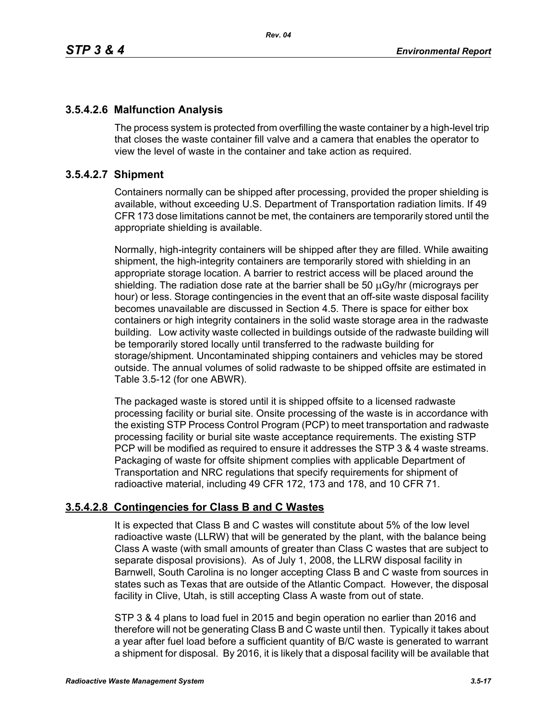# **3.5.4.2.6 Malfunction Analysis**

The process system is protected from overfilling the waste container by a high-level trip that closes the waste container fill valve and a camera that enables the operator to view the level of waste in the container and take action as required.

### **3.5.4.2.7 Shipment**

Containers normally can be shipped after processing, provided the proper shielding is available, without exceeding U.S. Department of Transportation radiation limits. If 49 CFR 173 dose limitations cannot be met, the containers are temporarily stored until the appropriate shielding is available.

Normally, high-integrity containers will be shipped after they are filled. While awaiting shipment, the high-integrity containers are temporarily stored with shielding in an appropriate storage location. A barrier to restrict access will be placed around the shielding. The radiation dose rate at the barrier shall be 50 μGy/hr (micrograys per hour) or less. Storage contingencies in the event that an off-site waste disposal facility becomes unavailable are discussed in Section 4.5. There is space for either box containers or high integrity containers in the solid waste storage area in the radwaste building. Low activity waste collected in buildings outside of the radwaste building will be temporarily stored locally until transferred to the radwaste building for storage/shipment. Uncontaminated shipping containers and vehicles may be stored outside. The annual volumes of solid radwaste to be shipped offsite are estimated in Table 3.5-12 (for one ABWR).

The packaged waste is stored until it is shipped offsite to a licensed radwaste processing facility or burial site. Onsite processing of the waste is in accordance with the existing STP Process Control Program (PCP) to meet transportation and radwaste processing facility or burial site waste acceptance requirements. The existing STP PCP will be modified as required to ensure it addresses the STP 3 & 4 waste streams. Packaging of waste for offsite shipment complies with applicable Department of Transportation and NRC regulations that specify requirements for shipment of radioactive material, including 49 CFR 172, 173 and 178, and 10 CFR 71.

# **3.5.4.2.8 Contingencies for Class B and C Wastes**

It is expected that Class B and C wastes will constitute about 5% of the low level radioactive waste (LLRW) that will be generated by the plant, with the balance being Class A waste (with small amounts of greater than Class C wastes that are subject to separate disposal provisions). As of July 1, 2008, the LLRW disposal facility in Barnwell, South Carolina is no longer accepting Class B and C waste from sources in states such as Texas that are outside of the Atlantic Compact. However, the disposal facility in Clive, Utah, is still accepting Class A waste from out of state.

STP 3 & 4 plans to load fuel in 2015 and begin operation no earlier than 2016 and therefore will not be generating Class B and C waste until then. Typically it takes about a year after fuel load before a sufficient quantity of B/C waste is generated to warrant a shipment for disposal. By 2016, it is likely that a disposal facility will be available that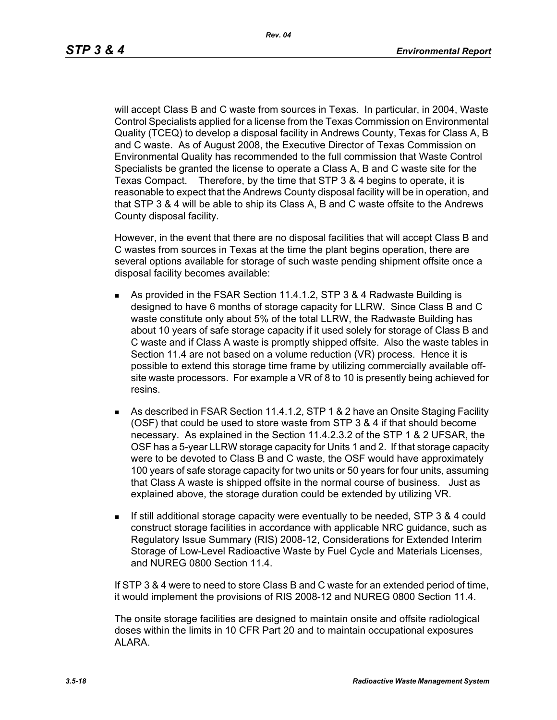will accept Class B and C waste from sources in Texas. In particular, in 2004, Waste Control Specialists applied for a license from the Texas Commission on Environmental Quality (TCEQ) to develop a disposal facility in Andrews County, Texas for Class A, B and C waste. As of August 2008, the Executive Director of Texas Commission on Environmental Quality has recommended to the full commission that Waste Control Specialists be granted the license to operate a Class A, B and C waste site for the Texas Compact. Therefore, by the time that STP 3 & 4 begins to operate, it is reasonable to expect that the Andrews County disposal facility will be in operation, and that STP 3 & 4 will be able to ship its Class A, B and C waste offsite to the Andrews County disposal facility.

However, in the event that there are no disposal facilities that will accept Class B and C wastes from sources in Texas at the time the plant begins operation, there are several options available for storage of such waste pending shipment offsite once a disposal facility becomes available:

- As provided in the FSAR Section 11.4.1.2, STP 3 & 4 Radwaste Building is designed to have 6 months of storage capacity for LLRW. Since Class B and C waste constitute only about 5% of the total LLRW, the Radwaste Building has about 10 years of safe storage capacity if it used solely for storage of Class B and C waste and if Class A waste is promptly shipped offsite. Also the waste tables in Section 11.4 are not based on a volume reduction (VR) process. Hence it is possible to extend this storage time frame by utilizing commercially available offsite waste processors. For example a VR of 8 to 10 is presently being achieved for resins.
- As described in FSAR Section 11.4.1.2, STP 1 & 2 have an Onsite Staging Facility (OSF) that could be used to store waste from STP 3 & 4 if that should become necessary. As explained in the Section 11.4.2.3.2 of the STP 1 & 2 UFSAR, the OSF has a 5-year LLRW storage capacity for Units 1 and 2. If that storage capacity were to be devoted to Class B and C waste, the OSF would have approximately 100 years of safe storage capacity for two units or 50 years for four units, assuming that Class A waste is shipped offsite in the normal course of business. Just as explained above, the storage duration could be extended by utilizing VR.
- If still additional storage capacity were eventually to be needed, STP 3 & 4 could construct storage facilities in accordance with applicable NRC guidance, such as Regulatory Issue Summary (RIS) 2008-12, Considerations for Extended Interim Storage of Low-Level Radioactive Waste by Fuel Cycle and Materials Licenses, and NUREG 0800 Section 11.4.

If STP 3 & 4 were to need to store Class B and C waste for an extended period of time, it would implement the provisions of RIS 2008-12 and NUREG 0800 Section 11.4.

The onsite storage facilities are designed to maintain onsite and offsite radiological doses within the limits in 10 CFR Part 20 and to maintain occupational exposures ALARA.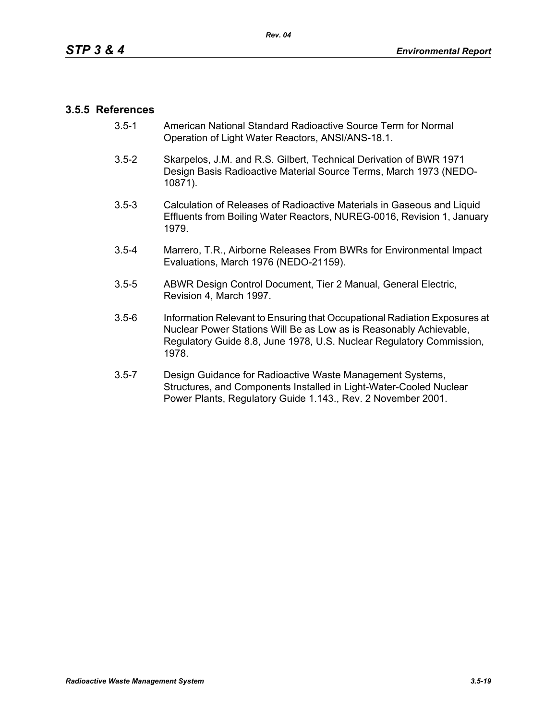### **3.5.5 References**

- 3.5-1 American National Standard Radioactive Source Term for Normal Operation of Light Water Reactors, ANSI/ANS-18.1.
- 3.5-2 Skarpelos, J.M. and R.S. Gilbert, Technical Derivation of BWR 1971 Design Basis Radioactive Material Source Terms, March 1973 (NEDO-10871).
- 3.5-3 Calculation of Releases of Radioactive Materials in Gaseous and Liquid Effluents from Boiling Water Reactors, NUREG-0016, Revision 1, January 1979.
- 3.5-4 Marrero, T.R., Airborne Releases From BWRs for Environmental Impact Evaluations, March 1976 (NEDO-21159).
- 3.5-5 ABWR Design Control Document, Tier 2 Manual, General Electric, Revision 4, March 1997.
- 3.5-6 Information Relevant to Ensuring that Occupational Radiation Exposures at Nuclear Power Stations Will Be as Low as is Reasonably Achievable, Regulatory Guide 8.8, June 1978, U.S. Nuclear Regulatory Commission, 1978.
- 3.5-7 Design Guidance for Radioactive Waste Management Systems, Structures, and Components Installed in Light-Water-Cooled Nuclear Power Plants, Regulatory Guide 1.143., Rev. 2 November 2001.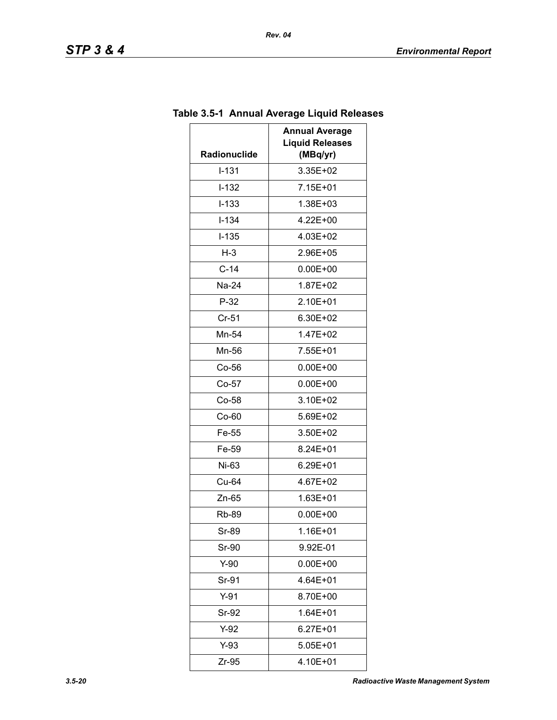| Radionuclide | <b>Annual Average</b><br><b>Liquid Releases</b><br>(MBq/yr) |
|--------------|-------------------------------------------------------------|
| $I-131$      | 3.35E+02                                                    |
| $I-132$      | 7.15E+01                                                    |
| $I - 133$    | 1.38E+03                                                    |
| $I - 134$    | 4.22E+00                                                    |
| $I-135$      | 4.03E+02                                                    |
| $H-3$        | 2.96E+05                                                    |
| $C-14$       | $0.00E + 00$                                                |
| Na-24        | 1.87E+02                                                    |
| $P-32$       | 2.10E+01                                                    |
| $Cr-51$      | 6.30E+02                                                    |
| Mn-54        | 1.47E+02                                                    |
| Mn-56        | 7.55E+01                                                    |
| $Co-56$      | $0.00E + 00$                                                |
| $Co-57$      | $0.00E + 00$                                                |
| $Co-58$      | 3.10E+02                                                    |
| Co-60        | 5.69E+02                                                    |
| Fe-55        | 3.50E+02                                                    |
| Fe-59        | 8.24E+01                                                    |
| Ni-63        | 6.29E+01                                                    |
| Cu-64        | 4.67E+02                                                    |
| $Zn-65$      | $1.63E + 01$                                                |
| Rb-89        | $0.00E + 00$                                                |
| Sr-89        | 1.16E+01                                                    |
| Sr-90        | 9.92E-01                                                    |
| $Y-90$       | $0.00E + 00$                                                |
| Sr-91        | 4.64E+01                                                    |
| $Y-91$       | 8.70E+00                                                    |
| Sr-92        | $1.64E + 01$                                                |
| $Y-92$       | $6.27E + 01$                                                |
| $Y-93$       | 5.05E+01                                                    |
| Zr-95        | 4.10E+01                                                    |

# **Table 3.5-1 Annual Average Liquid Releases**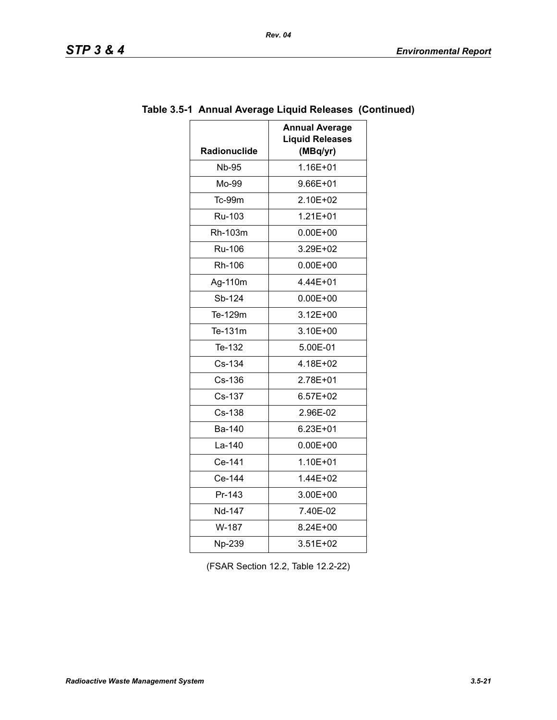| <b>STP</b> |  | D<br>œ |  |  |
|------------|--|--------|--|--|
|------------|--|--------|--|--|

| <b>Radionuclide</b> | <b>Annual Average</b><br><b>Liquid Releases</b><br>(MBq/yr) |
|---------------------|-------------------------------------------------------------|
| <b>Nb-95</b>        | 1.16E+01                                                    |
| Mo-99               | 9.66E+01                                                    |
| Tc-99m              | 2.10E+02                                                    |
| Ru-103              | $1.21E + 01$                                                |
| Rh-103m             | $0.00E + 00$                                                |
| <b>Ru-106</b>       | 3.29E+02                                                    |
| Rh-106              | $0.00E + 00$                                                |
| Ag-110m             | 4.44E+01                                                    |
| Sb-124              | $0.00E + 00$                                                |
| Te-129m             | $3.12E + 00$                                                |
| Te-131m             | 3.10E+00                                                    |
| Te-132              | 5.00E-01                                                    |
| Cs-134              | 4.18E+02                                                    |
| Cs-136              | 2.78E+01                                                    |
| Cs-137              | $6.57E + 02$                                                |
| Cs-138              | 2.96E-02                                                    |
| Ba-140              | 6.23E+01                                                    |
| La-140              | $0.00E + 00$                                                |
| Ce-141              | $1.10E + 01$                                                |
| Ce-144              | 1.44E+02                                                    |
| Pr-143              | 3.00E+00                                                    |
| Nd-147              | 7.40E-02                                                    |
| W-187               | 8.24E+00                                                    |
| Np-239              | 3.51E+02                                                    |

# **Table 3.5-1 Annual Average Liquid Releases (Continued)**

(FSAR Section 12.2, Table 12.2-22)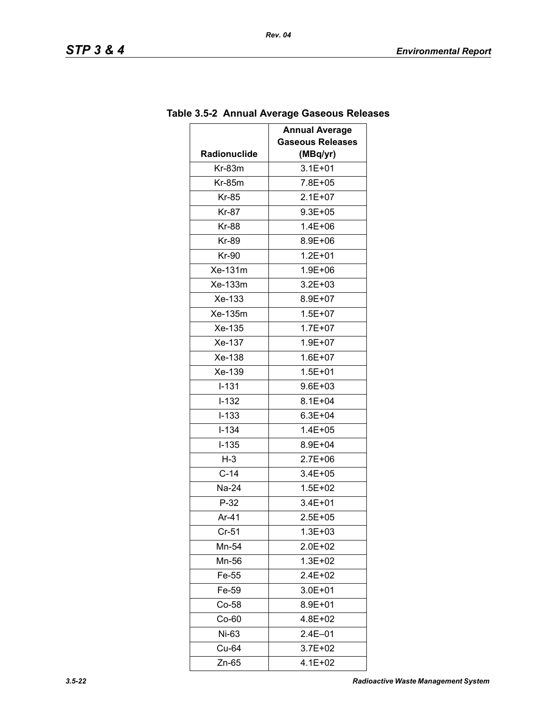|                     | <b>Annual Average</b><br><b>Gaseous Releases</b> |
|---------------------|--------------------------------------------------|
| <b>Radionuclide</b> | (MBq/yr)                                         |
| $Kr-83m$            | $3.1E + 01$                                      |
| $Kr-85m$            | 7.8E+05                                          |
| <b>Kr-85</b>        | $2.1E + 07$                                      |
| Kr-87               | $9.3E + 05$                                      |
| <b>Kr-88</b>        | $1.4E + 06$                                      |
| <b>Kr-89</b>        | 8.9E+06                                          |
| Kr-90               | $1.2E + 01$                                      |
| Xe-131m             | 1.9E+06                                          |
| Xe-133m             | $3.2E + 03$                                      |
| Xe-133              | 8.9E+07                                          |
| Xe-135m             | $1.5E + 07$                                      |
| Xe-135              | $1.7E + 07$                                      |
| Xe-137              | 1.9E+07                                          |
| Xe-138              | $1.6E + 07$                                      |
| Xe-139              | $1.5E + 01$                                      |
| $I - 131$           | 9.6E+03                                          |
| $I-132$             | $8.1E + 04$                                      |
| $I-133$             | $6.3E + 04$                                      |
| I-134               | 1.4E+05                                          |
| $I-135$             | 8.9E+04                                          |
| $H-3$               | $2.7E + 06$                                      |
| $C-14$              | $3.4E + 05$                                      |
| Na-24               | $1.5E + 02$                                      |
| $P-32$              | $3.4E + 01$                                      |
| Ar-41               | $2.5E + 05$                                      |
| $Cr-51$             | 1.3E+03                                          |
| Mn-54               | 2.0E+02                                          |
| Mn-56               | 1.3E+02                                          |
| Fe-55               | 2.4E+02                                          |
| Fe-59               | 3.0E+01                                          |
| $Co-58$             | 8.9E+01                                          |
| $Co-60$             | 4.8E+02                                          |
| Ni-63               | $2.4E - 01$                                      |
| Cu-64               | 3.7E+02                                          |
| Zn-65               | 4.1E+02                                          |

# **Table 3.5-2 Annual Average Gaseous Releases**

*Rev. 04*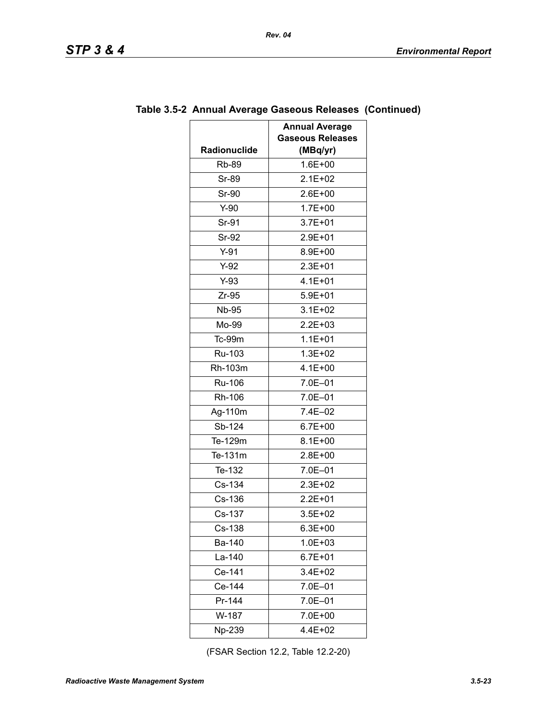|              | <b>Annual Average</b>   |
|--------------|-------------------------|
|              | <b>Gaseous Releases</b> |
| Radionuclide | (MBq/yr)                |
| <b>Rb-89</b> | $1.6E + 00$             |
| <b>Sr-89</b> | $2.1E + 02$             |
| Sr-90        | $2.6E + 00$             |
| $Y-90$       | $1.7E + 00$             |
| Sr-91        | $3.7E + 01$             |
| <b>Sr-92</b> | $2.9E + 01$             |
| $Y-91$       | $8.9E + 00$             |
| $Y-92$       | $2.3E + 01$             |
| $Y-93$       | $4.1E + 01$             |
| $Zr-95$      | $5.9E + 01$             |
| <b>Nb-95</b> | $3.1E + 02$             |
| Mo-99        | $2.2E + 03$             |
| $Tc-99m$     | $1.1E + 01$             |
| Ru-103       | $1.3E + 02$             |
| Rh-103m      | $4.1E + 00$             |
| Ru-106       | 7.0E-01                 |
| Rh-106       | 7.0E-01                 |
| Ag-110m      | 7.4E-02                 |
| Sb-124       | $6.7E + 00$             |
| Te-129m      | $8.1E + 00$             |
| Te-131m      | $2.8E + 00$             |
| Te-132       | $7.0E - 01$             |
| Cs-134       | $2.3E + 02$             |
| Cs-136       | $2.2E + 01$             |
| Cs-137       | $3.5E + 02$             |
| Cs-138       | $6.3E + 00$             |
| Ba-140       | $1.0E + 03$             |
| La-140       | $6.7E + 01$             |
| Ce-141       | 3.4E+02                 |
| Ce-144       | 7.0E-01                 |
| Pr-144       | 7.0E-01                 |
| W-187        | 7.0E+00                 |
| Np-239       | 4.4E+02                 |

### **Table 3.5-2 Annual Average Gaseous Releases (Continued)**

(FSAR Section 12.2, Table 12.2-20)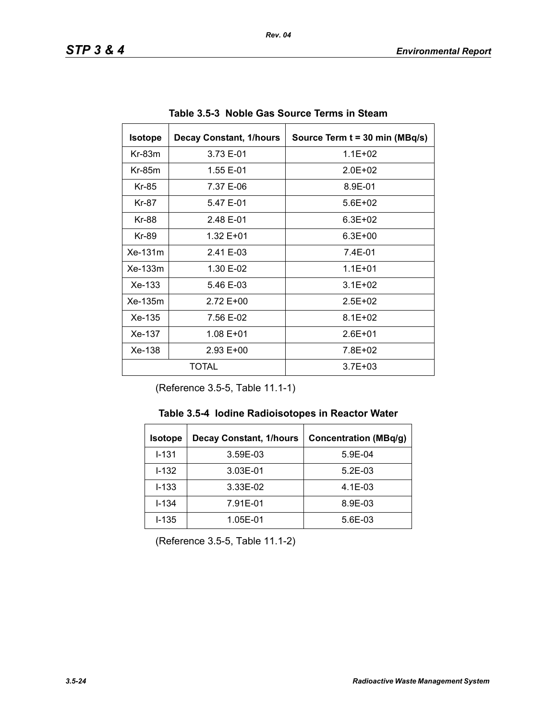| <b>Isotope</b> | <b>Decay Constant, 1/hours</b> | Source Term t = 30 min (MBq/s) |
|----------------|--------------------------------|--------------------------------|
| $Kr-83m$       | 3.73 E-01                      | $1.1E + 02$                    |
| $Kr-85m$       | 1.55 E-01                      | $2.0F + 02$                    |
| Kr-85          | 7.37 E-06                      | 8.9E-01                        |
| Kr-87          | 5.47 E-01                      | $5.6E + 02$                    |
| Kr-88          | 2.48 E-01                      | $6.3E + 02$                    |
| Kr-89          | 1.32 E+01                      | $6.3E + 00$                    |
| Xe-131m        | 2.41 E-03                      | 7.4E-01                        |
| $Xe-133m$      | 1.30 E-02                      | $1.1E + 01$                    |
| $Xe-133$       | 5.46 E-03                      | $3.1E + 02$                    |
| Xe-135m        | 2.72 E+00                      | $2.5E + 02$                    |
| Xe-135         | 7.56 E-02                      | $8.1E + 02$                    |
| Xe-137         | 1.08 E+01                      | $2.6E + 01$                    |
| Xe-138         | $2.93 E+00$                    | 7.8E+02                        |
|                | TOTAL                          | $3.7E + 03$                    |

**Table 3.5-3 Noble Gas Source Terms in Steam** 

(Reference 3.5-5, Table 11.1-1)

|  |  | Table 3.5-4 Iodine Radioisotopes in Reactor Water |  |  |  |
|--|--|---------------------------------------------------|--|--|--|
|--|--|---------------------------------------------------|--|--|--|

| <b>Isotope</b> | <b>Decay Constant, 1/hours</b> | <b>Concentration (MBq/g)</b> |
|----------------|--------------------------------|------------------------------|
| $I - 131$      | 3.59E-03                       | $5.9E-04$                    |
| $I-132$        | 3.03E-01                       | $5.2E-03$                    |
| $I - 133$      | 3.33E-02                       | $4.1E-03$                    |
| $I - 134$      | 7.91E-01                       | 8.9E-03                      |
| $I - 135$      | 1.05E-01                       | $5.6E-03$                    |

(Reference 3.5-5, Table 11.1-2)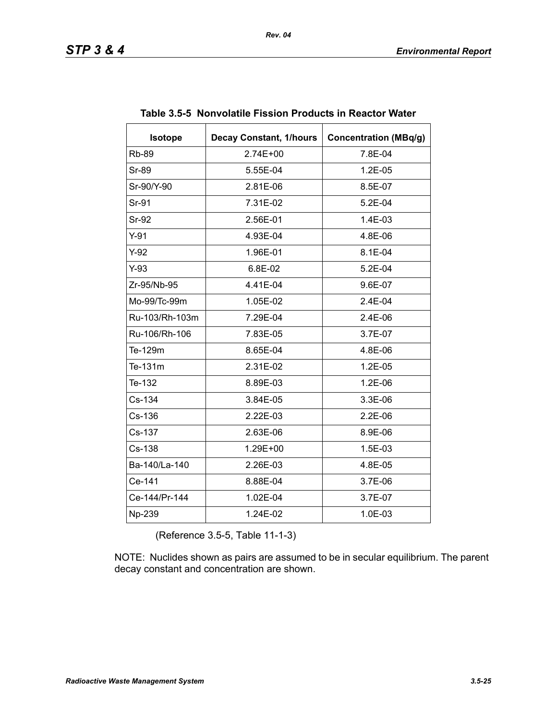| <b>Isotope</b> | <b>Decay Constant, 1/hours</b> | <b>Concentration (MBq/g)</b> |
|----------------|--------------------------------|------------------------------|
| <b>Rb-89</b>   | $2.74E + 00$                   | 7.8E-04                      |
| Sr-89          | 5.55E-04                       | 1.2E-05                      |
| Sr-90/Y-90     | 2.81E-06                       | 8.5E-07                      |
| Sr-91          | 7.31E-02                       | 5.2E-04                      |
| <b>Sr-92</b>   | 2.56E-01                       | 1.4E-03                      |
| $Y-91$         | 4.93E-04                       | 4.8E-06                      |
| $Y-92$         | 1.96E-01                       | 8.1E-04                      |
| $Y-93$         | 6.8E-02                        | $5.2E-04$                    |
| Zr-95/Nb-95    | 4.41E-04                       | 9.6E-07                      |
| Mo-99/Tc-99m   | 1.05E-02                       | 2.4E-04                      |
| Ru-103/Rh-103m | 7.29E-04                       | 2.4E-06                      |
| Ru-106/Rh-106  | 7.83E-05                       | 3.7E-07                      |
| Te-129m        | 8.65E-04                       | 4.8E-06                      |
| Te-131m        | 2.31E-02                       | $1.2E-05$                    |
| Te-132         | 8.89E-03                       | 1.2E-06                      |
| Cs-134         | 3.84E-05                       | 3.3E-06                      |
| Cs-136         | 2.22E-03                       | 2.2E-06                      |
| Cs-137         | 2.63E-06                       | 8.9E-06                      |
| Cs-138         | 1.29E+00                       | 1.5E-03                      |
| Ba-140/La-140  | 2.26E-03                       | 4.8E-05                      |
| Ce-141         | 8.88E-04                       | 3.7E-06                      |
| Ce-144/Pr-144  | 1.02E-04                       | 3.7E-07                      |
| Np-239         | 1.24E-02                       | 1.0E-03                      |

|  |  | Table 3.5-5 Nonvolatile Fission Products in Reactor Water |
|--|--|-----------------------------------------------------------|
|  |  |                                                           |

(Reference 3.5-5, Table 11-1-3)

NOTE: Nuclides shown as pairs are assumed to be in secular equilibrium. The parent decay constant and concentration are shown.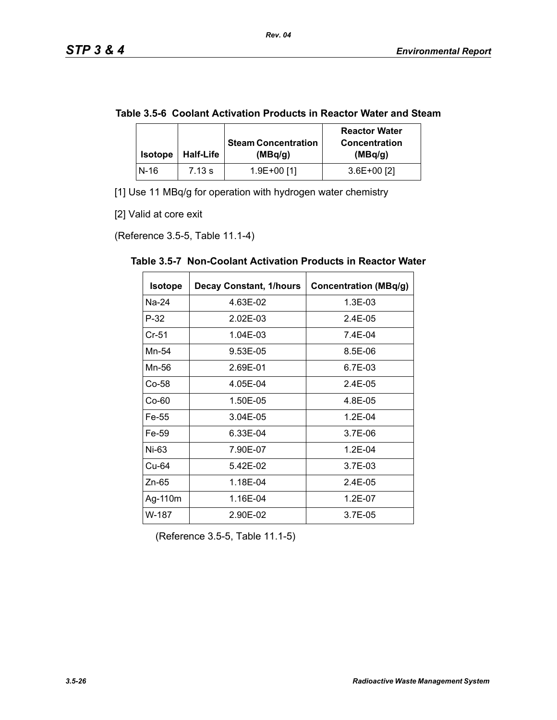|  | Table 3.5-6 Coolant Activation Products in Reactor Water and Steam |
|--|--------------------------------------------------------------------|
|--|--------------------------------------------------------------------|

| <b>Isotope</b> | <b>Half-Life</b> | <b>Steam Concentration</b><br>(MBq/q) | <b>Reactor Water</b><br><b>Concentration</b><br>(MBq/g) |
|----------------|------------------|---------------------------------------|---------------------------------------------------------|
| N-16           | 7.13 s           | 1.9E+00 [1]                           | $3.6E+00$ [2]                                           |

[1] Use 11 MBq/g for operation with hydrogen water chemistry

[2] Valid at core exit

(Reference 3.5-5, Table 11.1-4)

| <b>Isotope</b> | <b>Decay Constant, 1/hours</b> | <b>Concentration (MBq/g)</b> |
|----------------|--------------------------------|------------------------------|
| Na-24          | 4.63E-02                       | 1.3E-03                      |
| $P-32$         | 2.02E-03                       | 2.4E-05                      |
| $Cr-51$        | 1.04E-03                       | 7.4E-04                      |
| Mn-54          | 9.53E-05                       | 8.5E-06                      |
| Mn-56          | 2.69E-01                       | 6.7E-03                      |
| Co-58          | 4.05E-04                       | 2.4E-05                      |
| $Co-60$        | 1.50E-05                       | 4.8E-05                      |
| Fe-55          | 3.04E-05                       | $1.2E - 04$                  |
| Fe-59          | 6.33E-04                       | 3.7E-06                      |
| Ni-63          | 7.90E-07                       | $1.2E - 04$                  |
| Cu-64          | 5.42E-02                       | 3.7E-03                      |
| $Zn-65$        | 1.18E-04                       | $2.4E-0.5$                   |
| Ag-110m        | 1.16E-04                       | 1.2E-07                      |
| W-187          | 2.90E-02                       | 3.7E-05                      |

**Table 3.5-7 Non-Coolant Activation Products in Reactor Water** 

(Reference 3.5-5, Table 11.1-5)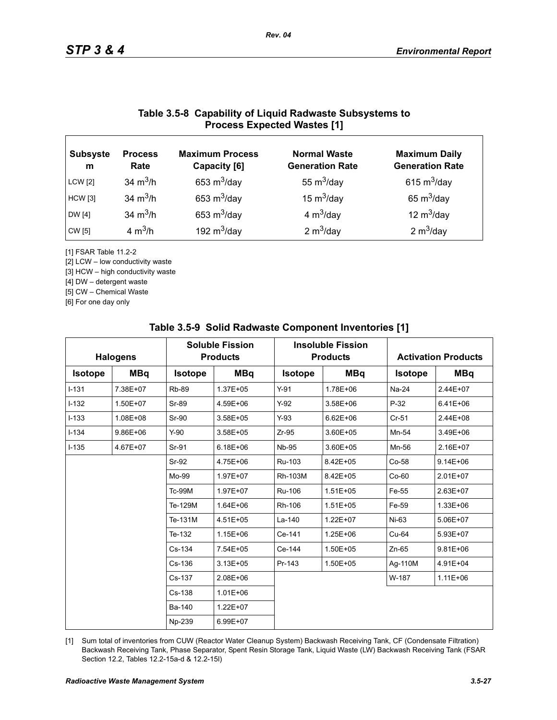### **Table 3.5-8 Capability of Liquid Radwaste Subsystems to Process Expected Wastes [1]**

*Rev. 04*

| <b>Subsyste</b><br>m | <b>Process</b><br>Rate | <b>Maximum Process</b><br>Capacity [6] | <b>Normal Waste</b><br><b>Generation Rate</b> | <b>Maximum Daily</b><br><b>Generation Rate</b> |
|----------------------|------------------------|----------------------------------------|-----------------------------------------------|------------------------------------------------|
| <b>LCW</b> [2]       | 34 $m^3/h$             | 653 $m^3$ /day                         | 55 $m^3$ /day                                 | 615 $m^3$ /day                                 |
| <b>HCW</b> [3]       | 34 $m^3/h$             | 653 $m^3$ /day                         | 15 $m^3$ /day                                 | 65 $m^3$ /day                                  |
| DW [4]               | 34 $m^3/h$             | 653 $m^3$ /day                         | 4 $m^3$ /day                                  | 12 $m^3$ /day                                  |
| CW [5]               | 4 $m^3/h$              | 192 $m^3$ /day                         | 2 $m^3$ /day                                  | 2 $m^3$ /day                                   |

[1] FSAR Table 11.2-2

[2] LCW – low conductivity waste

[3] HCW – high conductivity waste

[4] DW – detergent waste

[5] CW – Chemical Waste

[6] For one day only

| <b>Halogens</b> |              | <b>Soluble Fission</b><br><b>Products</b> |              | <b>Insoluble Fission</b><br><b>Products</b> |              |                | <b>Activation Products</b> |  |
|-----------------|--------------|-------------------------------------------|--------------|---------------------------------------------|--------------|----------------|----------------------------|--|
| <b>Isotope</b>  | <b>MBq</b>   | <b>Isotope</b>                            | <b>MBq</b>   | <b>Isotope</b>                              | <b>MBq</b>   | <b>Isotope</b> | <b>MBq</b>                 |  |
| $I-131$         | 7.38E+07     | <b>Rb-89</b>                              | 1.37E+05     | $Y-91$                                      | 1.78E+06     | Na-24          | 2.44E+07                   |  |
| $I-132$         | 1.50E+07     | <b>Sr-89</b>                              | 4.59E+06     | $Y-92$                                      | 3.58E+06     | $P-32$         | $6.41E + 06$               |  |
| $I-133$         | 1.08E+08     | Sr-90                                     | 3.58E+05     | $Y-93$                                      | $6.62E + 06$ | $Cr-51$        | 2.44E+08                   |  |
| $I - 134$       | $9.86E + 06$ | $Y-90$                                    | 3.58E+05     | $Zr-95$                                     | 3.60E+05     | Mn-54          | 3.49E+06                   |  |
| $I - 135$       | 4.67E+07     | Sr-91                                     | $6.18E + 06$ | <b>Nb-95</b>                                | 3.60E+05     | Mn-56          | 2.16E+07                   |  |
|                 |              | Sr-92                                     | 4.75E+06     | Ru-103                                      | 8.42E+05     | Co-58          | $9.14E + 06$               |  |
|                 |              | Mo-99                                     | 1.97E+07     | Rh-103M                                     | 8.42E+05     | $Co-60$        | 2.01E+07                   |  |
|                 |              | <b>Tc-99M</b>                             | 1.97E+07     | Ru-106                                      | $1.51E + 05$ | Fe-55          | 2.63E+07                   |  |
|                 |              | Te-129M                                   | 1.64E+06     | Rh-106                                      | $1.51E + 05$ | Fe-59          | 1.33E+06                   |  |
|                 |              | Te-131M                                   | 4.51E+05     | La-140                                      | 1.22E+07     | $Ni-63$        | 5.06E+07                   |  |
|                 |              | Te-132                                    | 1.15E+06     | Ce-141                                      | 1.25E+06     | Cu-64          | 5.93E+07                   |  |
|                 |              | Cs-134                                    | 7.54E+05     | Ce-144                                      | 1.50E+05     | $Zn-65$        | $9.81E + 06$               |  |
|                 |              | Cs-136                                    | $3.13E + 05$ | Pr-143                                      | 1.50E+05     | Ag-110M        | 4.91E+04                   |  |
|                 |              | $Cs-137$                                  | $2.08E + 06$ |                                             |              | W-187          | $1.11E + 06$               |  |
|                 |              | Cs-138                                    | $1.01E + 06$ |                                             |              |                |                            |  |
|                 |              | Ba-140                                    | 1.22E+07     |                                             |              |                |                            |  |
|                 |              | Np-239                                    | 6.99E+07     |                                             |              |                |                            |  |

#### **Table 3.5-9 Solid Radwaste Component Inventories [1]**

[1] Sum total of inventories from CUW (Reactor Water Cleanup System) Backwash Receiving Tank, CF (Condensate Filtration) Backwash Receiving Tank, Phase Separator, Spent Resin Storage Tank, Liquid Waste (LW) Backwash Receiving Tank (FSAR Section 12.2, Tables 12.2-15a-d & 12.2-15l)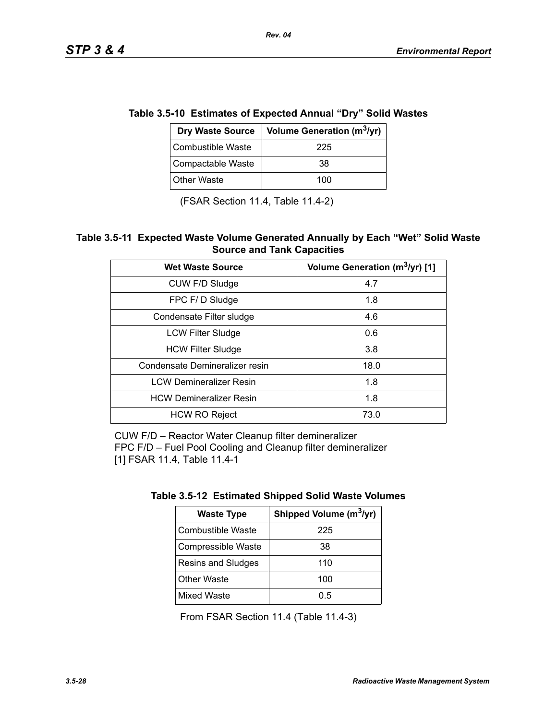| e 3.5-10 ESUMALES OF EXPECTED AMMALE DTY SONG WAS |                                        |  |  |  |
|---------------------------------------------------|----------------------------------------|--|--|--|
| <b>Dry Waste Source</b>                           | Volume Generation (m <sup>3</sup> /yr) |  |  |  |
| <b>Combustible Waste</b>                          | 225                                    |  |  |  |
| Compactable Waste                                 | 38                                     |  |  |  |
| <b>Other Waste</b>                                | 100                                    |  |  |  |

# **Table 3.5-10 Estimates of Expected Annual "Dry" Solid Wastes**

*Rev. 04*

(FSAR Section 11.4, Table 11.4-2)

#### **Table 3.5-11 Expected Waste Volume Generated Annually by Each "Wet" Solid Waste Source and Tank Capacities**

| <b>Wet Waste Source</b>        | Volume Generation (m <sup>3</sup> /yr) [1] |
|--------------------------------|--------------------------------------------|
| CUW F/D Sludge                 | 4.7                                        |
| FPC F/D Sludge                 | 1.8                                        |
| Condensate Filter sludge       | 4.6                                        |
| <b>LCW Filter Sludge</b>       | 0.6                                        |
| <b>HCW Filter Sludge</b>       | 3.8                                        |
| Condensate Demineralizer resin | 18.0                                       |
| <b>LCW Demineralizer Resin</b> | 1.8                                        |
| <b>HCW Demineralizer Resin</b> | 1.8                                        |
| <b>HCW RO Reject</b>           | 73.0                                       |

CUW F/D – Reactor Water Cleanup filter demineralizer FPC F/D – Fuel Pool Cooling and Cleanup filter demineralizer [1] FSAR 11.4, Table 11.4-1

| <b>Waste Type</b>  | Shipped Volume (m <sup>3</sup> /yr) |
|--------------------|-------------------------------------|
| Combustible Waste  | 225                                 |
| Compressible Waste | 38                                  |
| Resins and Sludges | 110                                 |
| <b>Other Waste</b> | 100                                 |
| <b>Mixed Waste</b> | 0.5                                 |

From FSAR Section 11.4 (Table 11.4-3)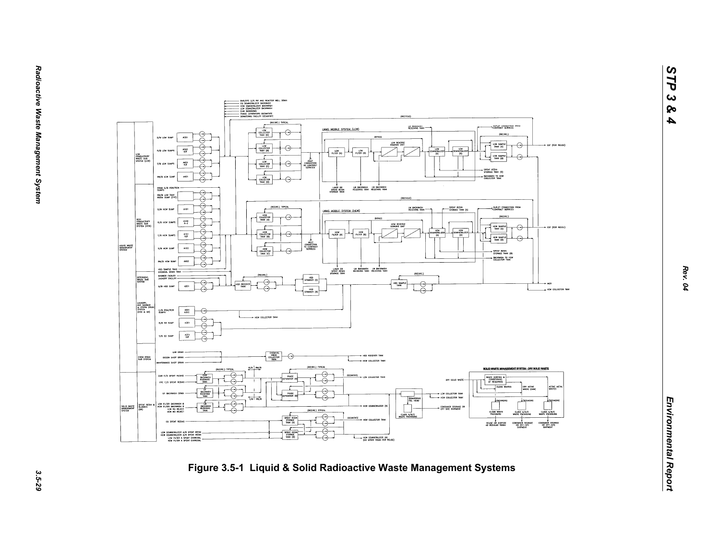

*STP 3 & 4*